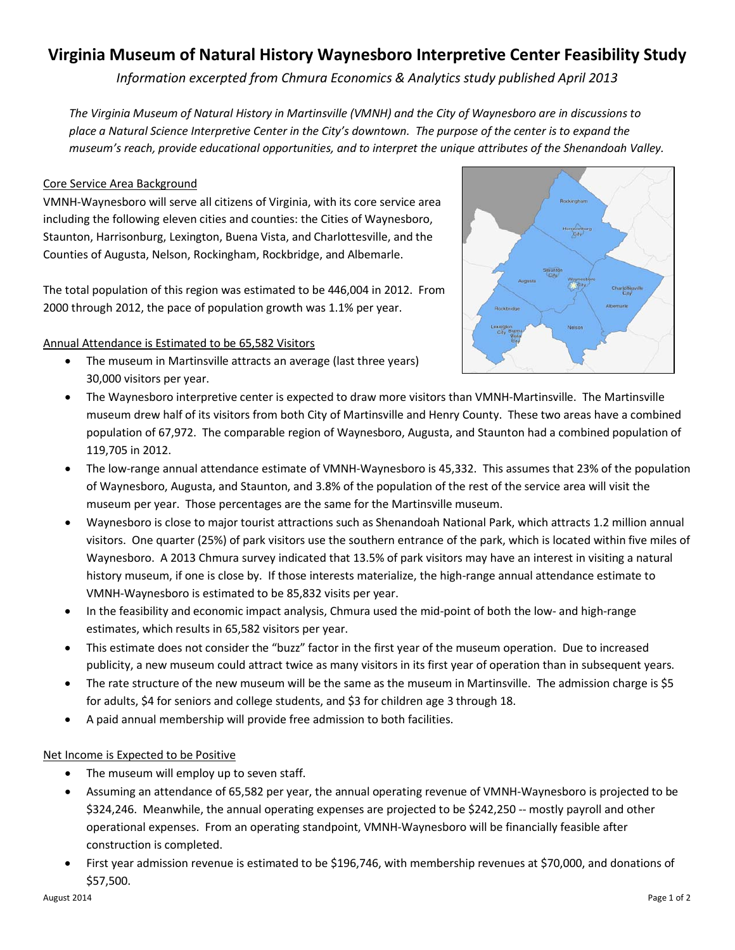# **Virginia Museum of Natural History Waynesboro Interpretive Center Feasibility Study**

*Information excerpted from Chmura Economics & Analytics study published April 2013*

*The Virginia Museum of Natural History in Martinsville (VMNH) and the City of Waynesboro are in discussions to place a Natural Science Interpretive Center in the City's downtown. The purpose of the center is to expand the museum's reach, provide educational opportunities, and to interpret the unique attributes of the Shenandoah Valley.*

# Core Service Area Background

VMNH-Waynesboro will serve all citizens of Virginia, with its core service area including the following eleven cities and counties: the Cities of Waynesboro, Staunton, Harrisonburg, Lexington, Buena Vista, and Charlottesville, and the Counties of Augusta, Nelson, Rockingham, Rockbridge, and Albemarle.

The total population of this region was estimated to be 446,004 in 2012. From 2000 through 2012, the pace of population growth was 1.1% per year.

# Annual Attendance is Estimated to be 65,582 Visitors

• The museum in Martinsville attracts an average (last three years) 30,000 visitors per year.



- The Waynesboro interpretive center is expected to draw more visitors than VMNH-Martinsville. The Martinsville museum drew half of its visitors from both City of Martinsville and Henry County. These two areas have a combined population of 67,972. The comparable region of Waynesboro, Augusta, and Staunton had a combined population of 119,705 in 2012.
- The low-range annual attendance estimate of VMNH-Waynesboro is 45,332. This assumes that 23% of the population of Waynesboro, Augusta, and Staunton, and 3.8% of the population of the rest of the service area will visit the museum per year. Those percentages are the same for the Martinsville museum.
- Waynesboro is close to major tourist attractions such as Shenandoah National Park, which attracts 1.2 million annual visitors. One quarter (25%) of park visitors use the southern entrance of the park, which is located within five miles of Waynesboro. A 2013 Chmura survey indicated that 13.5% of park visitors may have an interest in visiting a natural history museum, if one is close by. If those interests materialize, the high-range annual attendance estimate to VMNH-Waynesboro is estimated to be 85,832 visits per year.
- In the feasibility and economic impact analysis, Chmura used the mid-point of both the low- and high-range estimates, which results in 65,582 visitors per year.
- This estimate does not consider the "buzz" factor in the first year of the museum operation. Due to increased publicity, a new museum could attract twice as many visitors in its first year of operation than in subsequent years.
- The rate structure of the new museum will be the same as the museum in Martinsville. The admission charge is \$5 for adults, \$4 for seniors and college students, and \$3 for children age 3 through 18.
- A paid annual membership will provide free admission to both facilities.

# Net Income is Expected to be Positive

- The museum will employ up to seven staff.
- Assuming an attendance of 65,582 per year, the annual operating revenue of VMNH-Waynesboro is projected to be \$324,246. Meanwhile, the annual operating expenses are projected to be \$242,250 -- mostly payroll and other operational expenses. From an operating standpoint, VMNH-Waynesboro will be financially feasible after construction is completed.
- First year admission revenue is estimated to be \$196,746, with membership revenues at \$70,000, and donations of \$57,500.